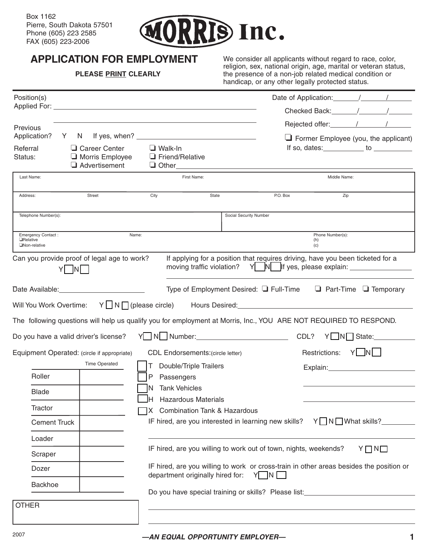

## **APPLICATION FOR EMPLOYMENT**

#### **PLEASE PRINT CLEARLY**

We consider all applicants without regard to race, color, religion, sex, national origin, age, marital or veteran status, the presence of a non-job related medical condition or handicap, or any other legally protected status.

| Position(s)                                                   |                                                   |                                                              |                                                                  |                                                                                                                   |
|---------------------------------------------------------------|---------------------------------------------------|--------------------------------------------------------------|------------------------------------------------------------------|-------------------------------------------------------------------------------------------------------------------|
|                                                               |                                                   |                                                              |                                                                  |                                                                                                                   |
| Previous                                                      |                                                   |                                                              |                                                                  | Rejected offer: 1 1                                                                                               |
| Application?                                                  |                                                   |                                                              |                                                                  | Former Employee (you, the applicant)                                                                              |
| Referral<br>Status:                                           | Career Center<br>Morris Employee<br>Advertisement | $\Box$ Walk-In<br>Friend/Relative<br>$\Box$ Other            |                                                                  | If so, dates: $\qquad \qquad$ to $\qquad \qquad$                                                                  |
| Last Name:                                                    |                                                   | First Name:                                                  |                                                                  | Middle Name:                                                                                                      |
| Address:                                                      | Street                                            | City<br>State                                                | P.O. Box                                                         | Zip                                                                                                               |
| Telephone Number(s):                                          |                                                   |                                                              | Social Security Number                                           |                                                                                                                   |
| <b>Emergency Contact:</b><br><b>H</b> elative<br>Mon-relative | Name:                                             |                                                              |                                                                  | Phone Number(s):<br>(h)<br>(c)                                                                                    |
| Can you provide proof of legal age to work?                   | N                                                 | moving traffic violation?                                    |                                                                  | If applying for a position that requires driving, have you been ticketed for a                                    |
| Date Available: <u>New York Charles and State Available</u>   |                                                   |                                                              |                                                                  | Type of Employment Desired: $\Box$ Full-Time $\Box$ Part-Time $\Box$ Temporary                                    |
| Will You Work Overtime:                                       |                                                   |                                                              |                                                                  | Y N T (please circle) Hours Desired:                                                                              |
|                                                               |                                                   |                                                              |                                                                  | The following questions will help us qualify you for employment at Morris, Inc., YOU ARE NOT REQUIRED TO RESPOND. |
| Do you have a valid driver's license?                         |                                                   |                                                              | CDL?                                                             | Y N State:                                                                                                        |
| Equipment Operated: (circle if appropriate)                   |                                                   | <b>CDL Endorsements: (circle letter)</b>                     |                                                                  | Restrictions:<br>YLNL                                                                                             |
|                                                               | <b>Time Operated</b>                              | Double/Triple Trailers                                       |                                                                  | Explain: Explain:                                                                                                 |
| Roller                                                        |                                                   | Passengers                                                   |                                                                  |                                                                                                                   |
| <b>Blade</b>                                                  |                                                   | <b>Tank Vehicles</b>                                         |                                                                  |                                                                                                                   |
| Tractor                                                       |                                                   | <b>Hazardous Materials</b><br>X Combination Tank & Hazardous |                                                                  |                                                                                                                   |
| <b>Cement Truck</b>                                           |                                                   |                                                              | IF hired, are you interested in learning new skills?             | Y N M What skills?_                                                                                               |
| Loader                                                        |                                                   |                                                              |                                                                  |                                                                                                                   |
| Scraper                                                       |                                                   |                                                              | IF hired, are you willing to work out of town, nights, weekends? | YONO                                                                                                              |
| Dozer                                                         |                                                   | department originally hired for:                             | Y N                                                              | IF hired, are you willing to work or cross-train in other areas besides the position or                           |
| Backhoe                                                       |                                                   |                                                              | Do you have special training or skills? Please list:             |                                                                                                                   |
| <b>OTHER</b>                                                  |                                                   |                                                              |                                                                  |                                                                                                                   |
|                                                               |                                                   |                                                              |                                                                  |                                                                                                                   |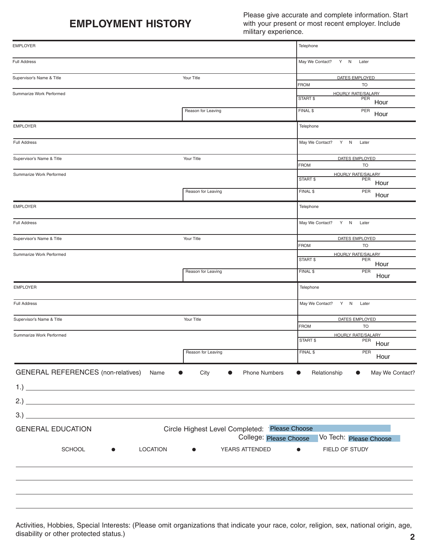## **EMPLOYMENT HISTORY**

Please give accurate and complete information. Start with your present or most recent employer. Include military experience.

| <b>EMPLOYER</b>                                        |                                                                         | Telephone                                            |
|--------------------------------------------------------|-------------------------------------------------------------------------|------------------------------------------------------|
| <b>Full Address</b>                                    |                                                                         | May We Contact? Y N Later                            |
| Supervisor's Name & Title                              | Your Title                                                              | DATES EMPLOYED                                       |
|                                                        |                                                                         | <b>TO</b><br><b>FROM</b>                             |
| Summarize Work Performed                               |                                                                         | <b>HOURLY RATE/SALARY</b><br>START \$<br>PER<br>Hour |
|                                                        | Reason for Leaving                                                      | FINAL \$<br>PER<br>Hour                              |
| <b>EMPLOYER</b>                                        |                                                                         | Telephone                                            |
| <b>Full Address</b>                                    |                                                                         | May We Contact? Y N Later                            |
| Supervisor's Name & Title                              | Your Title                                                              | DATES EMPLOYED<br><b>FROM</b><br><b>TO</b>           |
| Summarize Work Performed                               |                                                                         | <b>HOURLY RATE/SALARY</b>                            |
|                                                        |                                                                         | START \$<br>PER<br>Hour                              |
|                                                        | Reason for Leaving                                                      | FINAL \$<br>PER<br>Hour                              |
| <b>EMPLOYER</b>                                        |                                                                         | Telephone                                            |
| <b>Full Address</b>                                    |                                                                         | May We Contact? Y N Later                            |
| Supervisor's Name & Title                              | Your Title                                                              | DATES EMPLOYED                                       |
|                                                        |                                                                         | <b>FROM</b><br><b>TO</b>                             |
| Summarize Work Performed                               |                                                                         | <b>HOURLY RATE/SALARY</b><br>START \$<br>PER         |
|                                                        | Reason for Leaving                                                      | Hour<br>PER<br>FINAL \$                              |
| <b>EMPLOYER</b>                                        |                                                                         | Hour<br>Telephone                                    |
|                                                        |                                                                         |                                                      |
| Full Address                                           |                                                                         | May We Contact? Y N<br>Later                         |
| Supervisor's Name & Title                              | Your Title                                                              | DATES EMPLOYED<br><b>FROM</b><br>TO                  |
| Summarize Work Performed                               |                                                                         | <b>HOURLY RATE/SALARY</b>                            |
|                                                        |                                                                         | <b>START \$</b><br>PER<br>Hour                       |
|                                                        | г<br>Reason for Leaving                                                 | FINAL \$<br>PER<br>Hour                              |
| <b>GENERAL REFERENCES</b> (non-relatives)<br>Name<br>● | Phone Numbers<br>City                                                   | May We Contact?<br>Relationship<br>$\bullet$         |
|                                                        |                                                                         |                                                      |
|                                                        |                                                                         |                                                      |
|                                                        |                                                                         |                                                      |
|                                                        |                                                                         |                                                      |
| <b>GENERAL EDUCATION</b>                               | Circle Highest Level Completed: Please Choose<br>College: Please Choose | Vo Tech: Please Choose                               |
| <b>LOCATION</b><br><b>SCHOOL</b>                       | YEARS ATTENDED                                                          | FIELD OF STUDY                                       |
|                                                        |                                                                         |                                                      |
|                                                        |                                                                         |                                                      |
|                                                        |                                                                         |                                                      |

Activities, Hobbies, Special Interests: (Please omit organizations that indicate your race, color, religion, sex, national origin, age, disability or other protected status.) **2**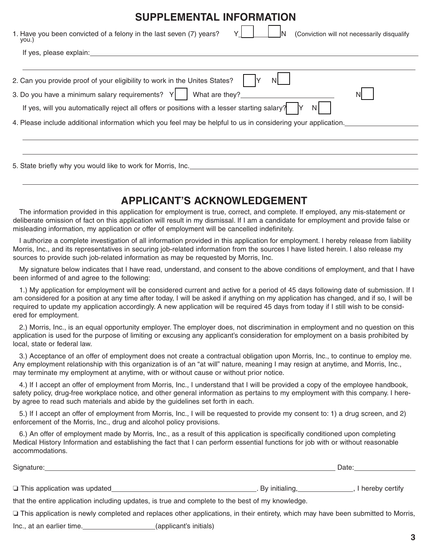| <b>SUPPLEMENTAL INFORMATION</b>                                                                                                                                                                                                |
|--------------------------------------------------------------------------------------------------------------------------------------------------------------------------------------------------------------------------------|
| 1. Have you been convicted of a felony in the last seven (7) years?<br>Y I<br>(Conviction will not necessarily disqualify<br>you.)                                                                                             |
| If yes, please explain: If yes are also as a set of year of year of years and year of years of years and year of years and year of years and year of years and year of years and year of years and year of years and year of y |
|                                                                                                                                                                                                                                |
| 2. Can you provide proof of your eligibility to work in the Unites States?                                                                                                                                                     |
| 3. Do you have a minimum salary requirements? $Y$ $\parallel$ What are they?                                                                                                                                                   |
| If yes, will you automatically reject all offers or positions with a lesser starting salary?<br>N                                                                                                                              |
| 4. Please include additional information which you feel may be helpful to us in considering your application.                                                                                                                  |
|                                                                                                                                                                                                                                |
|                                                                                                                                                                                                                                |
| 5. State briefly why you would like to work for Morris, Inc.                                                                                                                                                                   |

### **APPLICANT'S ACKNOWLEDGEMENT**

The information provided in this application for employment is true, correct, and complete. If employed, any mis-statement or deliberate omission of fact on this application will result in my dismissal. If I am a candidate for employment and provide false or misleading information, my application or offer of employment will be cancelled indefinitely.

I authorize a complete investigation of all information provided in this application for employment. I hereby release from liability Morris, Inc., and its representatives in securing job-related information from the sources I have listed herein. I also release my sources to provide such job-related information as may be requested by Morris, Inc.

My signature below indicates that I have read, understand, and consent to the above conditions of employment, and that I have been informed of and agree to the following:

1.) My application for employment will be considered current and active for a period of 45 days following date of submission. If I am considered for a position at any time after today, I will be asked if anything on my application has changed, and if so, I will be required to update my application accordingly. A new application will be required 45 days from today if I still wish to be considered for employment.

2.) Morris, Inc., is an equal opportunity employer. The employer does, not discrimination in employment and no question on this application is used for the purpose of limiting or excusing any applicant's consideration for employment on a basis prohibited by local, state or federal law.

3.) Acceptance of an offer of employment does not create a contractual obligation upon Morris, Inc., to continue to employ me. Any employment relationship with this organization is of an "at will" nature, meaning I may resign at anytime, and Morris, Inc., may terminate my employment at anytime, with or without cause or without prior notice.

4.) If I accept an offer of employment from Morris, Inc., I understand that I will be provided a copy of the employee handbook, safety policy, drug-free workplace notice, and other general information as pertains to my employment with this company. I hereby agree to read such materials and abide by the guidelines set forth in each.

5.) If I accept an offer of employment from Morris, Inc., I will be requested to provide my consent to: 1) a drug screen, and 2) enforcement of the Morris, Inc., drug and alcohol policy provisions.

6.) An offer of employment made by Morris, Inc., as a result of this application is specifically conditioned upon completing Medical History Information and establishing the fact that I can perform essential functions for job with or without reasonable accommodations.

| Signature:                                                                                                                         | Date:                 |                |  |
|------------------------------------------------------------------------------------------------------------------------------------|-----------------------|----------------|--|
|                                                                                                                                    |                       |                |  |
| $\Box$ This application was updated                                                                                                | . By initialing, Lang | hereby certify |  |
| that the entire application including updates, is true and complete to the best of my knowledge.                                   |                       |                |  |
| □ This application is newly completed and replaces other applications, in their entirety, which may have been submitted to Morris, |                       |                |  |

Inc., at an earlier time. (applicant's initials)